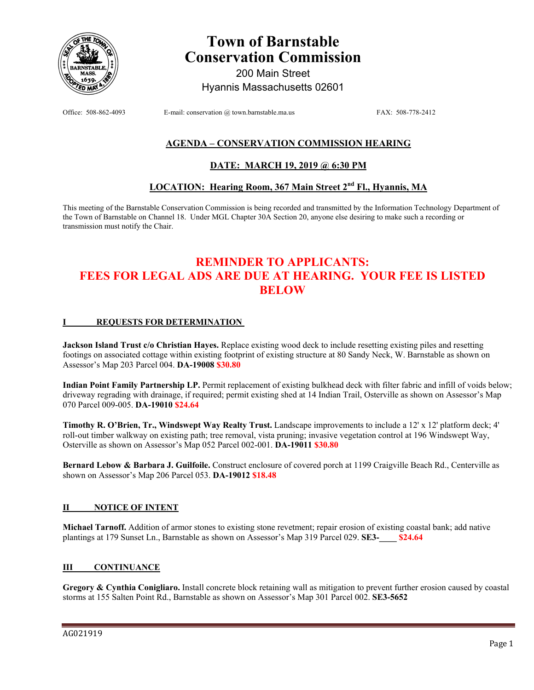

# **Town of Barnstable Conservation Commission**

200 Main Street Hyannis Massachusetts 02601

Office: 508-862-4093 E-mail: conservation @ town.barnstable.ma.us FAX: 508-778-2412

### **AGENDA – CONSERVATION COMMISSION HEARING**

### **DATE: MARCH 19, 2019 @ 6:30 PM**

## **LOCATION: Hearing Room, 367 Main Street 2nd Fl., Hyannis, MA**

This meeting of the Barnstable Conservation Commission is being recorded and transmitted by the Information Technology Department of the Town of Barnstable on Channel 18. Under MGL Chapter 30A Section 20, anyone else desiring to make such a recording or transmission must notify the Chair.

# **REMINDER TO APPLICANTS: FEES FOR LEGAL ADS ARE DUE AT HEARING. YOUR FEE IS LISTED BELOW**

#### **I REQUESTS FOR DETERMINATION**

**Jackson Island Trust c/o Christian Hayes.** Replace existing wood deck to include resetting existing piles and resetting footings on associated cottage within existing footprint of existing structure at 80 Sandy Neck, W. Barnstable as shown on Assessor's Map 203 Parcel 004. **DA-19008 \$30.80** 

**Indian Point Family Partnership LP.** Permit replacement of existing bulkhead deck with filter fabric and infill of voids below; driveway regrading with drainage, if required; permit existing shed at 14 Indian Trail, Osterville as shown on Assessor's Map 070 Parcel 009-005. **DA-19010 \$24.64**

**Timothy R. O'Brien, Tr., Windswept Way Realty Trust.** Landscape improvements to include a 12' x 12' platform deck; 4' roll-out timber walkway on existing path; tree removal, vista pruning; invasive vegetation control at 196 Windswept Way, Osterville as shown on Assessor's Map 052 Parcel 002-001. **DA-19011 \$30.80**

**Bernard Lebow & Barbara J. Guilfoile.** Construct enclosure of covered porch at 1199 Craigville Beach Rd., Centerville as shown on Assessor's Map 206 Parcel 053. **DA-19012 \$18.48**

### **II NOTICE OF INTENT**

**Michael Tarnoff.** Addition of armor stones to existing stone revetment; repair erosion of existing coastal bank; add native plantings at 179 Sunset Ln., Barnstable as shown on Assessor's Map 319 Parcel 029. **SE3-\_\_\_\_ \$24.64**

### **III CONTINUANCE**

**Gregory & Cynthia Conigliaro.** Install concrete block retaining wall as mitigation to prevent further erosion caused by coastal storms at 155 Salten Point Rd., Barnstable as shown on Assessor's Map 301 Parcel 002. **SE3-5652**